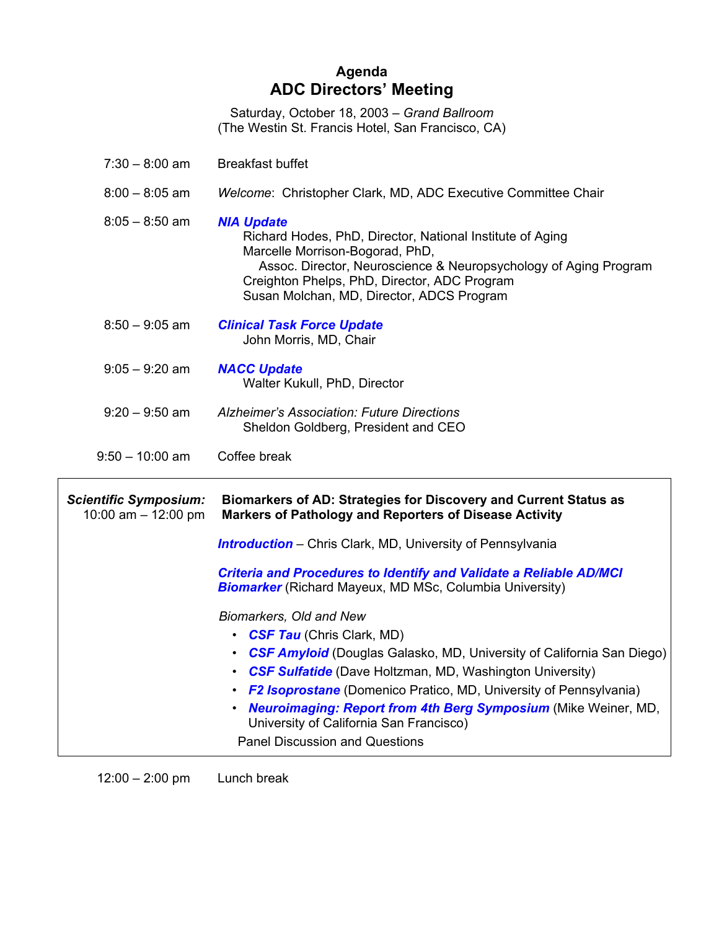## **Agenda ADC Directors' Meeting**

Saturday, October 18, 2003 – *Grand Ballroom* (The Westin St. Francis Hotel, San Francisco, CA)

| 7:30 – 8:00 am | <b>Breakfast buffet</b> |
|----------------|-------------------------|
|                |                         |

8:00 – 8:05 am *Welcome*: Christopher Clark, MD, ADC Executive Committee Chair

| <b>NIA Update</b> |                                                           |                                                                  |  |
|-------------------|-----------------------------------------------------------|------------------------------------------------------------------|--|
|                   | Richard Hodes, PhD, Director, National Institute of Aging |                                                                  |  |
|                   | Marcelle Morrison-Bogorad, PhD,                           |                                                                  |  |
|                   |                                                           | Assoc. Director, Neuroscience & Neuropsychology of Aging Program |  |
|                   | Creighton Phelps, PhD, Director, ADC Program              |                                                                  |  |
|                   | Susan Molchan, MD, Director, ADCS Program                 |                                                                  |  |
|                   |                                                           |                                                                  |  |

- 8:50 9:05 am *Clinical Task Force Update* John Morris, MD, Chair
- 9:05 9:20 am *NACC Update* Walter Kukull, PhD, Director
- 9:20 9:50 am *Alzheimer's Association: Future Directions* Sheldon Goldberg, President and CEO
- 9:50 10:00 am Coffee break

 $\Gamma$ 

| <b>Scientific Symposium:</b><br>10:00 am $-$ 12:00 pm | Biomarkers of AD: Strategies for Discovery and Current Status as<br><b>Markers of Pathology and Reporters of Disease Activity</b>                                                                                                                                                                                                                                                                                                                |  |
|-------------------------------------------------------|--------------------------------------------------------------------------------------------------------------------------------------------------------------------------------------------------------------------------------------------------------------------------------------------------------------------------------------------------------------------------------------------------------------------------------------------------|--|
|                                                       | <b>Introduction</b> – Chris Clark, MD, University of Pennsylvania                                                                                                                                                                                                                                                                                                                                                                                |  |
|                                                       | <b>Criteria and Procedures to Identify and Validate a Reliable AD/MCI</b><br><b>Biomarker</b> (Richard Mayeux, MD MSc, Columbia University)                                                                                                                                                                                                                                                                                                      |  |
|                                                       | Biomarkers, Old and New<br>• CSF Tau (Chris Clark, MD)<br>• CSF Amyloid (Douglas Galasko, MD, University of California San Diego)<br>• CSF Sulfatide (Dave Holtzman, MD, Washington University)<br><b>F2 Isoprostane</b> (Domenico Pratico, MD, University of Pennsylvania)<br>$\bullet$<br>• Neuroimaging: Report from 4th Berg Symposium (Mike Weiner, MD,<br>University of California San Francisco)<br><b>Panel Discussion and Questions</b> |  |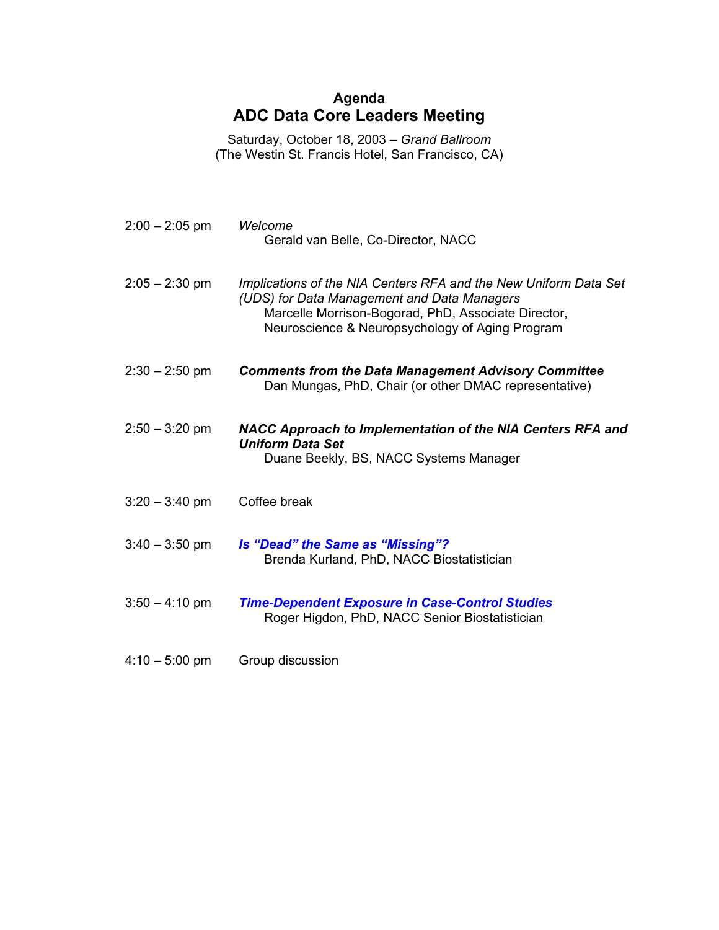## **Agenda ADC Data Core Leaders Meeting**

Saturday, October 18, 2003 – *Grand Ballroom* (The Westin St. Francis Hotel, San Francisco, CA)

| $2:00 - 2:05$ pm | Welcome<br>Gerald van Belle, Co-Director, NACC                                                                                                                                                                            |
|------------------|---------------------------------------------------------------------------------------------------------------------------------------------------------------------------------------------------------------------------|
| $2:05 - 2:30$ pm | Implications of the NIA Centers RFA and the New Uniform Data Set<br>(UDS) for Data Management and Data Managers<br>Marcelle Morrison-Bogorad, PhD, Associate Director,<br>Neuroscience & Neuropsychology of Aging Program |
| $2:30 - 2:50$ pm | <b>Comments from the Data Management Advisory Committee</b><br>Dan Mungas, PhD, Chair (or other DMAC representative)                                                                                                      |
| $2:50 - 3:20$ pm | NACC Approach to Implementation of the NIA Centers RFA and<br><b>Uniform Data Set</b><br>Duane Beekly, BS, NACC Systems Manager                                                                                           |
| $3:20 - 3:40$ pm | Coffee break                                                                                                                                                                                                              |
| $3:40 - 3:50$ pm | Is "Dead" the Same as "Missing"?<br>Brenda Kurland, PhD, NACC Biostatistician                                                                                                                                             |
| $3:50 - 4:10$ pm | <b>Time-Dependent Exposure in Case-Control Studies</b><br>Roger Higdon, PhD, NACC Senior Biostatistician                                                                                                                  |
| $4:10 - 5:00$ pm | Group discussion                                                                                                                                                                                                          |